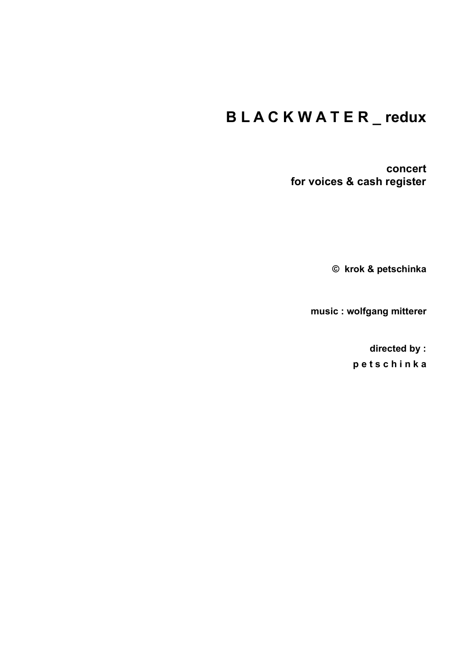# **B L A C K W A T E R \_ redux**

**concert for voices & cash register**

**© krok & petschinka**

**music : wolfgang mitterer**

**directed by : p e t s c h i n k a**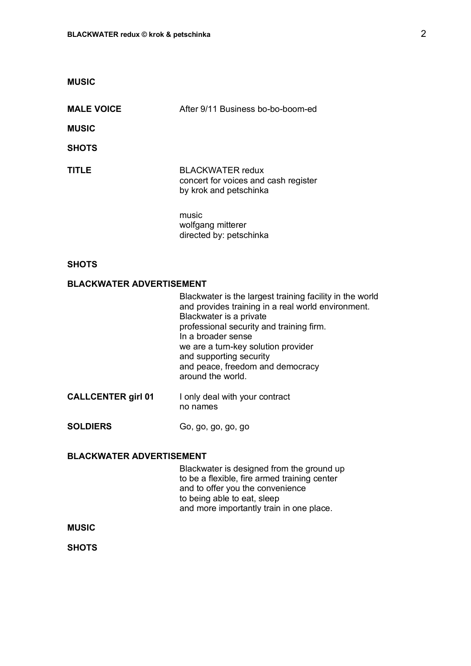| <b>MUSIC</b>                    |                                                                                                                                                                                                                                                                             |
|---------------------------------|-----------------------------------------------------------------------------------------------------------------------------------------------------------------------------------------------------------------------------------------------------------------------------|
| <b>MALE VOICE</b>               | After 9/11 Business bo-bo-boom-ed                                                                                                                                                                                                                                           |
| <b>MUSIC</b>                    |                                                                                                                                                                                                                                                                             |
| <b>SHOTS</b>                    |                                                                                                                                                                                                                                                                             |
| TITLE                           | <b>BLACKWATER</b> redux<br>concert for voices and cash register<br>by krok and petschinka                                                                                                                                                                                   |
|                                 | music<br>wolfgang mitterer<br>directed by: petschinka                                                                                                                                                                                                                       |
| <b>SHOTS</b>                    |                                                                                                                                                                                                                                                                             |
| <b>BLACKWATER ADVERTISEMENT</b> |                                                                                                                                                                                                                                                                             |
|                                 | Blackwater is the largest training facility in the wor<br>and provides training in a real world environment.<br>Blackwater is a private<br>professional security and training firm.<br>In a broader sense<br>we are a turn-key solution provider<br>and supporting security |

and peace, freedom and democracy

Blackwater is designed from the ground up to be a flexible, fire armed training center

and more importantly train in one place.

and to offer you the convenience

to being able to eat, sleep

around the world.

no names

**CALLCENTER girl 01** I only deal with your contract

**SOLDIERS** Go, go, go, go, go

**BLACKWATER ADVERTISEMENT**

**MUSIC**

**SHOTS**

the world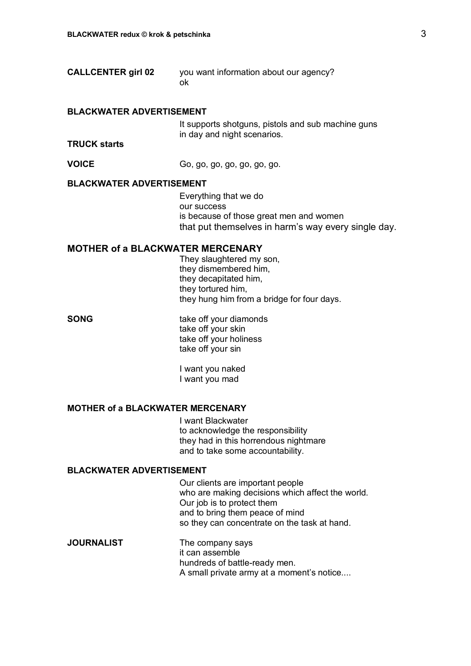| <b>CALLCENTER girl 02</b> | you want information about our agency? |
|---------------------------|----------------------------------------|
|                           | ok                                     |

#### **BLACKWATER ADVERTISEMENT**

It supports shotguns, pistols and sub machine guns in day and night scenarios.

#### **TRUCK starts**

**VOICE** Go, go, go, go, go, go, go.

#### **BLACKWATER ADVERTISEMENT**

Everything that we do our success is because of those great men and women that put themselves in harm's way every single day.

#### **MOTHER of a BLACKWATER MERCENARY**

They slaughtered my son, they dismembered him, they decapitated him, they tortured him, they hung him from a bridge for four days.

**SONG** take off your diamonds take off your skin take off your holiness take off your sin

> I want you naked I want you mad

#### **MOTHER of a BLACKWATER MERCENARY**

I want Blackwater to acknowledge the responsibility they had in this horrendous nightmare and to take some accountability.

#### **BLACKWATER ADVERTISEMENT**

Our clients are important people who are making decisions which affect the world. Our job is to protect them and to bring them peace of mind so they can concentrate on the task at hand.

**JOURNALIST** The company says it can assemble hundreds of battle-ready men. A small private army at a moment's notice....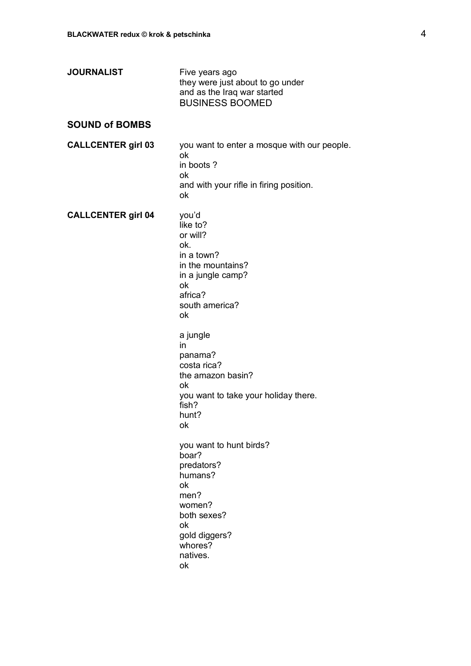|                           | they were just about to go under<br>and as the Iraq war started<br><b>BUSINESS BOOMED</b>                                                                                                                                                                                                                                                                                                                                            |
|---------------------------|--------------------------------------------------------------------------------------------------------------------------------------------------------------------------------------------------------------------------------------------------------------------------------------------------------------------------------------------------------------------------------------------------------------------------------------|
| <b>SOUND of BOMBS</b>     |                                                                                                                                                                                                                                                                                                                                                                                                                                      |
| <b>CALLCENTER girl 03</b> | you want to enter a mosque with our people.<br>ok<br>in boots?<br>ok<br>and with your rifle in firing position.<br>ok                                                                                                                                                                                                                                                                                                                |
| <b>CALLCENTER girl 04</b> | you'd<br>like to?<br>or will?<br>ok.<br>in a town?<br>in the mountains?<br>in a jungle camp?<br>ok<br>africa?<br>south america?<br>ok<br>a jungle<br>in<br>panama?<br>costa rica?<br>the amazon basin?<br>оk<br>you want to take your holiday there.<br>fish?<br>hunt?<br>ok<br>you want to hunt birds?<br>boar?<br>predators?<br>humans?<br>ok<br>men?<br>women?<br>both sexes?<br>ok<br>gold diggers?<br>whores?<br>natives.<br>ok |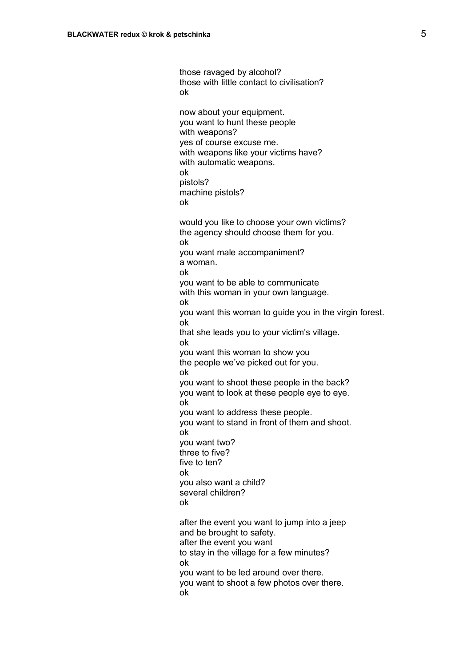those ravaged by alcohol? those with little contact to civilisation? ok now about your equipment. you want to hunt these people with weapons? yes of course excuse me. with weapons like your victims have? with automatic weapons. ok pistols? machine pistols? ok would you like to choose your own victims? the agency should choose them for you. ok you want male accompaniment? a woman. ok you want to be able to communicate with this woman in your own language. ok you want this woman to guide you in the virgin forest. ok that she leads you to your victim's village. ok you want this woman to show you the people we've picked out for you. ok you want to shoot these people in the back? you want to look at these people eye to eye. ok you want to address these people. you want to stand in front of them and shoot. ok you want two? three to five? five to ten? ok you also want a child? several children? ok after the event you want to jump into a jeep and be brought to safety. after the event you want to stay in the village for a few minutes? ok you want to be led around over there. you want to shoot a few photos over there.

ok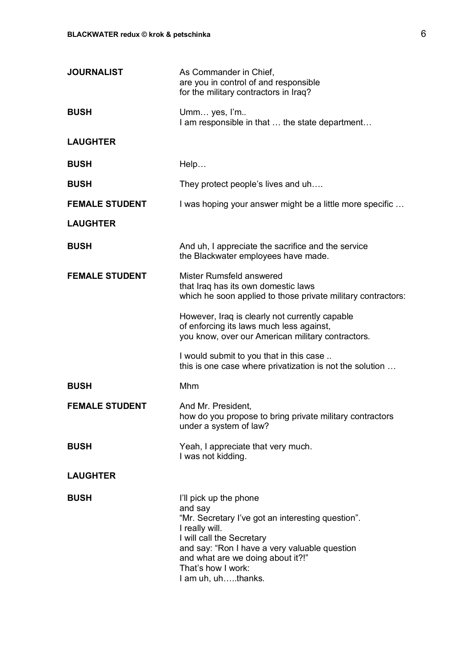| <b>JOURNALIST</b>     | As Commander in Chief,<br>are you in control of and responsible<br>for the military contractors in Iraq?                                                                                                                                                                |
|-----------------------|-------------------------------------------------------------------------------------------------------------------------------------------------------------------------------------------------------------------------------------------------------------------------|
| <b>BUSH</b>           | Umm yes, I'm<br>I am responsible in that  the state department                                                                                                                                                                                                          |
| <b>LAUGHTER</b>       |                                                                                                                                                                                                                                                                         |
| <b>BUSH</b>           | Help                                                                                                                                                                                                                                                                    |
| <b>BUSH</b>           | They protect people's lives and uh                                                                                                                                                                                                                                      |
| <b>FEMALE STUDENT</b> | I was hoping your answer might be a little more specific                                                                                                                                                                                                                |
| <b>LAUGHTER</b>       |                                                                                                                                                                                                                                                                         |
| <b>BUSH</b>           | And uh, I appreciate the sacrifice and the service<br>the Blackwater employees have made.                                                                                                                                                                               |
| <b>FEMALE STUDENT</b> | Mister Rumsfeld answered<br>that Iraq has its own domestic laws<br>which he soon applied to those private military contractors:                                                                                                                                         |
|                       | However, Iraq is clearly not currently capable<br>of enforcing its laws much less against,<br>you know, over our American military contractors.                                                                                                                         |
|                       | I would submit to you that in this case<br>this is one case where privatization is not the solution                                                                                                                                                                     |
| <b>BUSH</b>           | Mhm                                                                                                                                                                                                                                                                     |
| <b>FEMALE STUDENT</b> | And Mr. President,<br>how do you propose to bring private military contractors<br>under a system of law?                                                                                                                                                                |
| <b>BUSH</b>           | Yeah, I appreciate that very much.<br>I was not kidding.                                                                                                                                                                                                                |
| <b>LAUGHTER</b>       |                                                                                                                                                                                                                                                                         |
| <b>BUSH</b>           | I'll pick up the phone<br>and say<br>"Mr. Secretary I've got an interesting question".<br>I really will.<br>I will call the Secretary<br>and say: "Ron I have a very valuable question<br>and what are we doing about it?!"<br>That's how I work:<br>I am uh, uhthanks. |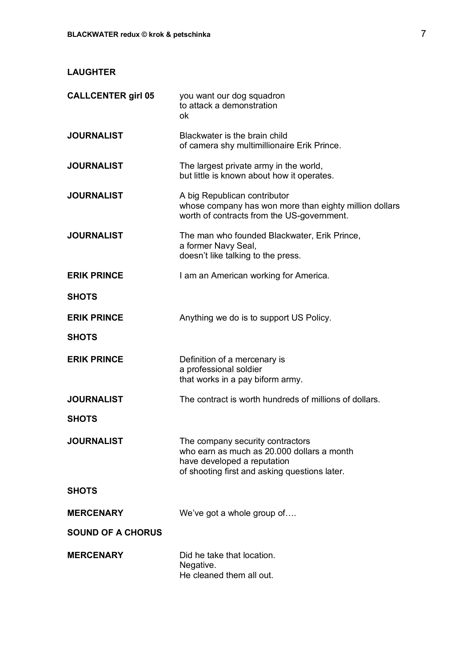# **LAUGHTER**

| <b>CALLCENTER girl 05</b> | you want our dog squadron<br>to attack a demonstration<br>ok                                                                                                   |
|---------------------------|----------------------------------------------------------------------------------------------------------------------------------------------------------------|
| <b>JOURNALIST</b>         | Blackwater is the brain child<br>of camera shy multimillionaire Erik Prince.                                                                                   |
| <b>JOURNALIST</b>         | The largest private army in the world,<br>but little is known about how it operates.                                                                           |
| <b>JOURNALIST</b>         | A big Republican contributor<br>whose company has won more than eighty million dollars<br>worth of contracts from the US-government.                           |
| <b>JOURNALIST</b>         | The man who founded Blackwater, Erik Prince,<br>a former Navy Seal,<br>doesn't like talking to the press.                                                      |
| <b>ERIK PRINCE</b>        | I am an American working for America.                                                                                                                          |
| <b>SHOTS</b>              |                                                                                                                                                                |
| <b>ERIK PRINCE</b>        | Anything we do is to support US Policy.                                                                                                                        |
| <b>SHOTS</b>              |                                                                                                                                                                |
| <b>ERIK PRINCE</b>        | Definition of a mercenary is<br>a professional soldier<br>that works in a pay biform army.                                                                     |
| <b>JOURNALIST</b>         | The contract is worth hundreds of millions of dollars.                                                                                                         |
| <b>SHOTS</b>              |                                                                                                                                                                |
| <b>JOURNALIST</b>         | The company security contractors<br>who earn as much as 20.000 dollars a month<br>have developed a reputation<br>of shooting first and asking questions later. |
| <b>SHOTS</b>              |                                                                                                                                                                |
| <b>MERCENARY</b>          | We've got a whole group of                                                                                                                                     |
| <b>SOUND OF A CHORUS</b>  |                                                                                                                                                                |
| <b>MERCENARY</b>          | Did he take that location.<br>Negative.<br>He cleaned them all out.                                                                                            |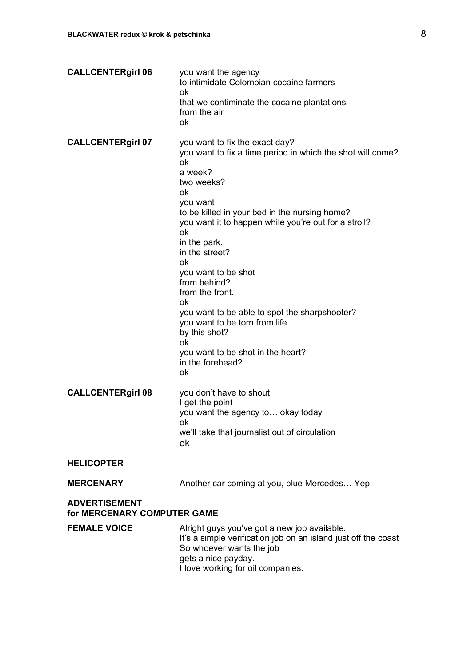| <b>CALLCENTERgirl 06</b>                            | you want the agency<br>to intimidate Colombian cocaine farmers<br>ok<br>that we contiminate the cocaine plantations<br>from the air<br>ok                                                                                                                                                                                                                                                                                                                                                                                                    |
|-----------------------------------------------------|----------------------------------------------------------------------------------------------------------------------------------------------------------------------------------------------------------------------------------------------------------------------------------------------------------------------------------------------------------------------------------------------------------------------------------------------------------------------------------------------------------------------------------------------|
| <b>CALLCENTERgirl 07</b>                            | you want to fix the exact day?<br>you want to fix a time period in which the shot will come?<br>ok<br>a week?<br>two weeks?<br>ok<br>you want<br>to be killed in your bed in the nursing home?<br>you want it to happen while you're out for a stroll?<br>ok<br>in the park.<br>in the street?<br>оk<br>you want to be shot<br>from behind?<br>from the front.<br>ok<br>you want to be able to spot the sharpshooter?<br>you want to be torn from life<br>by this shot?<br>ok<br>you want to be shot in the heart?<br>in the forehead?<br>ok |
| <b>CALLCENTERgirl 08</b>                            | you don't have to shout<br>I get the point<br>you want the agency to okay today<br>ok<br>we'll take that journalist out of circulation<br>ok                                                                                                                                                                                                                                                                                                                                                                                                 |
| <b>HELICOPTER</b>                                   |                                                                                                                                                                                                                                                                                                                                                                                                                                                                                                                                              |
| <b>MERCENARY</b>                                    | Another car coming at you, blue Mercedes Yep                                                                                                                                                                                                                                                                                                                                                                                                                                                                                                 |
| <b>ADVERTISEMENT</b><br>for MERCENARY COMPUTER GAME |                                                                                                                                                                                                                                                                                                                                                                                                                                                                                                                                              |
| <b>FEMALE VOICE</b>                                 | Alright guys you've got a new job available.<br>It's a simple verification job on an island just off the coast<br>So whoever wants the job<br>gets a nice payday.<br>I love working for oil companies.                                                                                                                                                                                                                                                                                                                                       |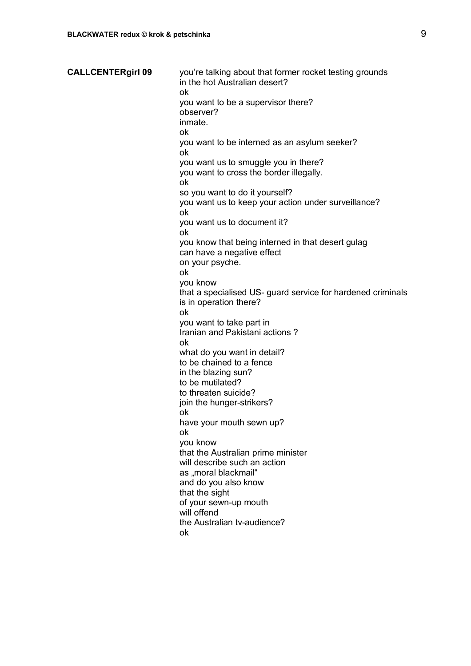**CALLCENTERgirl 09** you're talking about that former rocket testing grounds in the hot Australian desert? ok you want to be a supervisor there? observer? inmate. ok you want to be interned as an asylum seeker? ok you want us to smuggle you in there? you want to cross the border illegally. ok so you want to do it yourself? you want us to keep your action under surveillance? ok you want us to document it? ok you know that being interned in that desert gulag can have a negative effect on your psyche. ok you know that a specialised US- guard service for hardened criminals is in operation there? ok you want to take part in Iranian and Pakistani actions ? ok what do you want in detail? to be chained to a fence in the blazing sun? to be mutilated? to threaten suicide? join the hunger-strikers? ok have your mouth sewn up? ok you know that the Australian prime minister will describe such an action as "moral blackmail" and do you also know that the sight of your sewn-up mouth will offend the Australian tv-audience? ok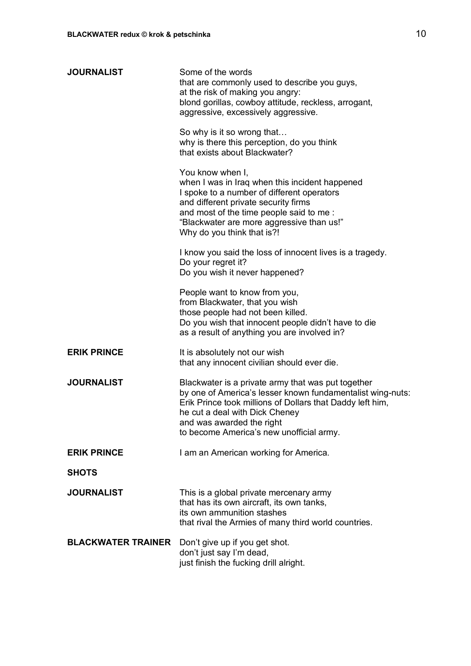| <b>JOURNALIST</b>         | Some of the words<br>that are commonly used to describe you guys,<br>at the risk of making you angry:<br>blond gorillas, cowboy attitude, reckless, arrogant,<br>aggressive, excessively aggressive.                                                                                     |
|---------------------------|------------------------------------------------------------------------------------------------------------------------------------------------------------------------------------------------------------------------------------------------------------------------------------------|
|                           | So why is it so wrong that<br>why is there this perception, do you think<br>that exists about Blackwater?                                                                                                                                                                                |
|                           | You know when I,<br>when I was in Iraq when this incident happened<br>I spoke to a number of different operators<br>and different private security firms<br>and most of the time people said to me:<br>"Blackwater are more aggressive than us!"<br>Why do you think that is?!           |
|                           | I know you said the loss of innocent lives is a tragedy.<br>Do your regret it?<br>Do you wish it never happened?                                                                                                                                                                         |
|                           | People want to know from you,<br>from Blackwater, that you wish<br>those people had not been killed.<br>Do you wish that innocent people didn't have to die<br>as a result of anything you are involved in?                                                                              |
| <b>ERIK PRINCE</b>        | It is absolutely not our wish<br>that any innocent civilian should ever die.                                                                                                                                                                                                             |
| <b>JOURNALIST</b>         | Blackwater is a private army that was put together<br>by one of America's lesser known fundamentalist wing-nuts:<br>Erik Prince took millions of Dollars that Daddy left him,<br>he cut a deal with Dick Cheney<br>and was awarded the right<br>to become America's new unofficial army. |
| <b>ERIK PRINCE</b>        | I am an American working for America.                                                                                                                                                                                                                                                    |
| <b>SHOTS</b>              |                                                                                                                                                                                                                                                                                          |
| <b>JOURNALIST</b>         | This is a global private mercenary army<br>that has its own aircraft, its own tanks,<br>its own ammunition stashes<br>that rival the Armies of many third world countries.                                                                                                               |
| <b>BLACKWATER TRAINER</b> | Don't give up if you get shot.<br>don't just say I'm dead,<br>just finish the fucking drill alright.                                                                                                                                                                                     |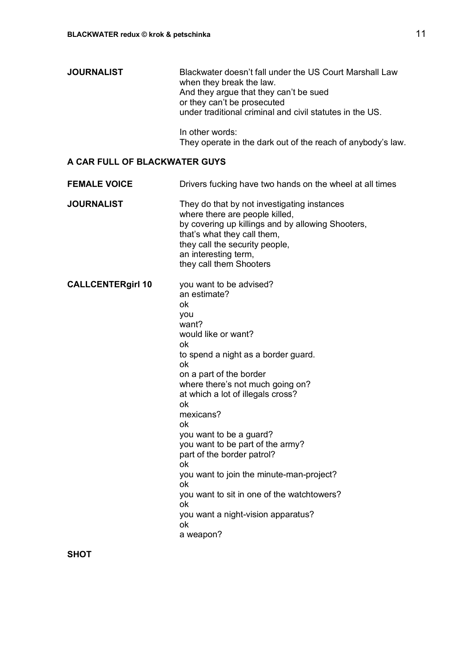| <b>JOURNALIST</b> | Blackwater doesn't fall under the US Court Marshall Law<br>when they break the law.<br>And they argue that they can't be sued |
|-------------------|-------------------------------------------------------------------------------------------------------------------------------|
|                   | or they can't be prosecuted<br>under traditional criminal and civil statutes in the US.                                       |
|                   | المسامد مندرين مرمان والجامرا                                                                                                 |

In other words: They operate in the dark out of the reach of anybody's law.

# **A CAR FULL OF BLACKWATER GUYS**

| <b>FEMALE VOICE</b>      | Drivers fucking have two hands on the wheel at all times                                                                                                                                                                                                                                                                                                                                                                                                                                                                               |
|--------------------------|----------------------------------------------------------------------------------------------------------------------------------------------------------------------------------------------------------------------------------------------------------------------------------------------------------------------------------------------------------------------------------------------------------------------------------------------------------------------------------------------------------------------------------------|
| <b>JOURNALIST</b>        | They do that by not investigating instances<br>where there are people killed,<br>by covering up killings and by allowing Shooters,<br>that's what they call them,<br>they call the security people,<br>an interesting term,<br>they call them Shooters                                                                                                                                                                                                                                                                                 |
| <b>CALLCENTERgirl 10</b> | you want to be advised?<br>an estimate?<br>ok<br>you<br>want?<br>would like or want?<br>ok<br>to spend a night as a border guard.<br>ok<br>on a part of the border<br>where there's not much going on?<br>at which a lot of illegals cross?<br>ok<br>mexicans?<br>ok<br>you want to be a guard?<br>you want to be part of the army?<br>part of the border patrol?<br>ok<br>you want to join the minute-man-project?<br>ok<br>you want to sit in one of the watchtowers?<br>ok<br>you want a night-vision apparatus?<br>ok<br>a weapon? |

**SHOT**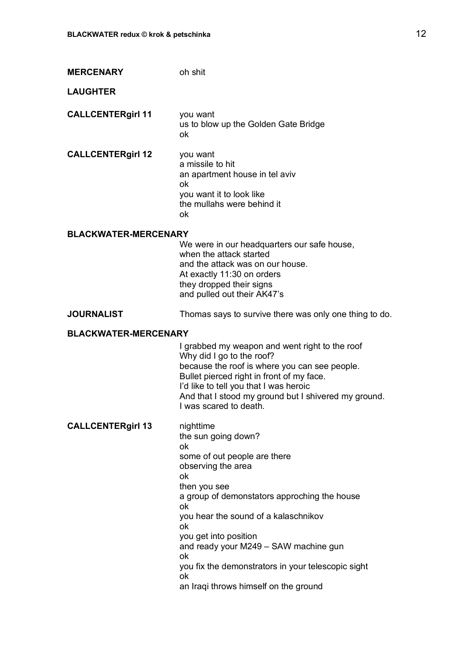| <b>MERCENARY</b>            | oh shit                                                                                                                                                                                                                                                                                               |
|-----------------------------|-------------------------------------------------------------------------------------------------------------------------------------------------------------------------------------------------------------------------------------------------------------------------------------------------------|
| <b>LAUGHTER</b>             |                                                                                                                                                                                                                                                                                                       |
| <b>CALLCENTERgirl 11</b>    | you want<br>us to blow up the Golden Gate Bridge<br>ok                                                                                                                                                                                                                                                |
| <b>CALLCENTERgirl 12</b>    | you want<br>a missile to hit<br>an apartment house in tel aviv<br>ok<br>you want it to look like<br>the mullahs were behind it<br>ok                                                                                                                                                                  |
| <b>BLACKWATER-MERCENARY</b> |                                                                                                                                                                                                                                                                                                       |
|                             | We were in our headquarters our safe house,<br>when the attack started                                                                                                                                                                                                                                |
|                             | and the attack was on our house.<br>At exactly 11:30 on orders                                                                                                                                                                                                                                        |
|                             | they dropped their signs<br>and pulled out their AK47's                                                                                                                                                                                                                                               |
| <b>JOURNALIST</b>           | Thomas says to survive there was only one thing to do.                                                                                                                                                                                                                                                |
| <b>BLACKWATER-MERCENARY</b> |                                                                                                                                                                                                                                                                                                       |
|                             | I grabbed my weapon and went right to the roof<br>Why did I go to the roof?<br>because the roof is where you can see people.<br>Bullet pierced right in front of my face.<br>I'd like to tell you that I was heroic<br>And that I stood my ground but I shivered my ground.<br>I was scared to death. |
| <b>CALLCENTERgirl 13</b>    | nighttime<br>the sun going down?<br>ok<br>some of out people are there<br>observing the area<br>ok                                                                                                                                                                                                    |
|                             | then you see<br>a group of demonstators approching the house<br>ok                                                                                                                                                                                                                                    |
|                             | you hear the sound of a kalaschnikov<br>ok                                                                                                                                                                                                                                                            |
|                             | you get into position<br>and ready your M249 - SAW machine gun<br>ok                                                                                                                                                                                                                                  |
|                             | you fix the demonstrators in your telescopic sight<br>ok                                                                                                                                                                                                                                              |
|                             | an Iraqi throws himself on the ground                                                                                                                                                                                                                                                                 |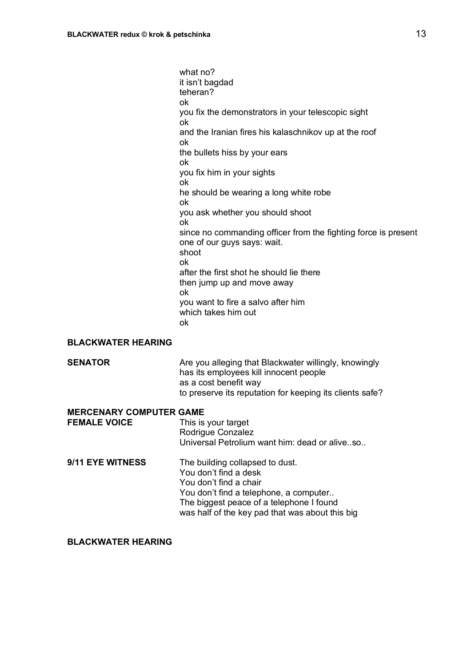what no? it isn't bagdad teheran? ok you fix the demonstrators in your telescopic sight ok and the Iranian fires his kalaschnikov up at the roof ok the bullets hiss by your ears ok you fix him in your sights ok he should be wearing a long white robe ok you ask whether you should shoot ok since no commanding officer from the fighting force is present one of our guys says: wait. shoot ok after the first shot he should lie there then jump up and move away ok you want to fire a salvo after him which takes him out ok

#### **BLACKWATER HEARING**

| <b>SENATOR</b> | Are you alleging that Blackwater willingly, knowingly    |
|----------------|----------------------------------------------------------|
|                | has its employees kill innocent people                   |
|                | as a cost benefit way                                    |
|                | to preserve its reputation for keeping its clients safe? |

#### **MERCENARY COMPUTER GAME**

| <b>FEMALE VOICE</b> | This is your target                           |
|---------------------|-----------------------------------------------|
|                     | Rodrigue Conzalez                             |
|                     | Universal Petrolium want him: dead or aliveso |
|                     |                                               |

**9/11 EYE WITNESS** The building collapsed to dust. You don't find a desk You don't find a chair You don't find a telephone, a computer.. The biggest peace of a telephone I found was half of the key pad that was about this big

#### **BLACKWATER HEARING**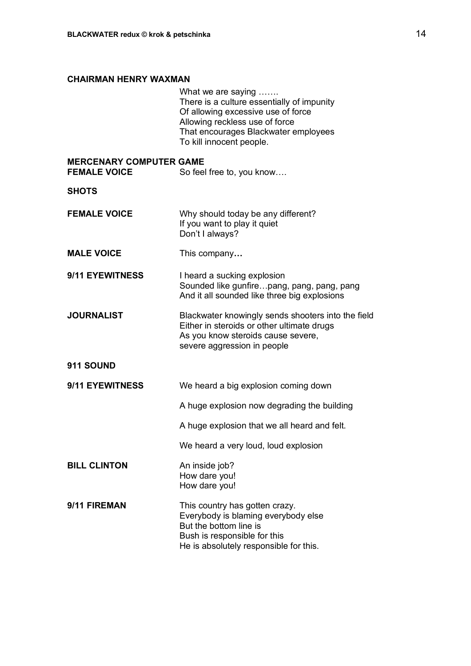# **CHAIRMAN HENRY WAXMAN**

|                                                       | What we are saying<br>There is a culture essentially of impunity<br>Of allowing excessive use of force<br>Allowing reckless use of force<br>That encourages Blackwater employees<br>To kill innocent people. |
|-------------------------------------------------------|--------------------------------------------------------------------------------------------------------------------------------------------------------------------------------------------------------------|
| <b>MERCENARY COMPUTER GAME</b><br><b>FEMALE VOICE</b> | So feel free to, you know                                                                                                                                                                                    |
| SHOTS                                                 |                                                                                                                                                                                                              |
| <b>FEMALE VOICE</b>                                   | Why should today be any different?<br>If you want to play it quiet<br>Don't I always?                                                                                                                        |
| <b>MALE VOICE</b>                                     | This company                                                                                                                                                                                                 |
| <b>9/11 EYEWITNESS</b>                                | I heard a sucking explosion<br>Sounded like gunfirepang, pang, pang, pang<br>And it all sounded like three big explosions                                                                                    |
| <b>JOURNALIST</b>                                     | Blackwater knowingly sends shooters into the field<br>Either in steroids or other ultimate drugs<br>As you know steroids cause severe,<br>severe aggression in people                                        |
| <b>911 SOUND</b>                                      |                                                                                                                                                                                                              |
| 9/11 EYEWITNESS                                       | We heard a big explosion coming down                                                                                                                                                                         |
|                                                       | A huge explosion now degrading the building                                                                                                                                                                  |
|                                                       | A huge explosion that we all heard and felt.                                                                                                                                                                 |
|                                                       | We heard a very loud, loud explosion                                                                                                                                                                         |
| <b>BILL CLINTON</b>                                   | An inside job?<br>How dare you!<br>How dare you!                                                                                                                                                             |
| 9/11 FIREMAN                                          | This country has gotten crazy.<br>Everybody is blaming everybody else<br>But the bottom line is<br>Bush is responsible for this<br>He is absolutely responsible for this.                                    |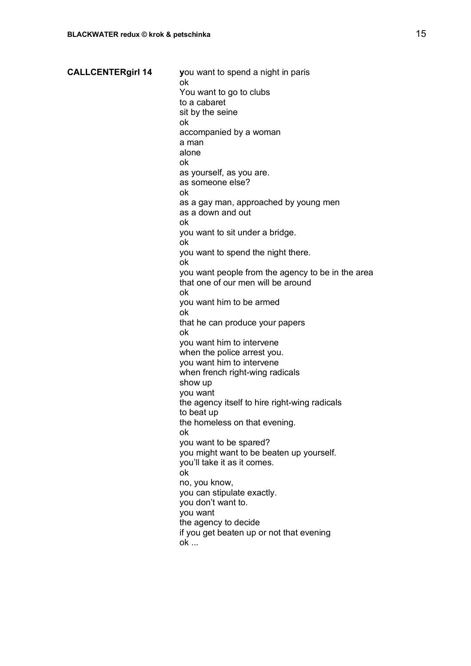**CALLCENTERgirl 14 y**ou want to spend a night in paris ok You want to go to clubs to a cabaret sit by the seine ok accompanied by a woman a man alone ok as yourself, as you are. as someone else? ok as a gay man, approached by young men as a down and out ok you want to sit under a bridge. ok you want to spend the night there. ok you want people from the agency to be in the area that one of our men will be around ok you want him to be armed ok that he can produce your papers ok you want him to intervene when the police arrest you. you want him to intervene when french right-wing radicals show up you want the agency itself to hire right-wing radicals to beat up the homeless on that evening. ok you want to be spared? you might want to be beaten up yourself. you'll take it as it comes. ok no, you know, you can stipulate exactly. you don't want to. you want the agency to decide if you get beaten up or not that evening ok ...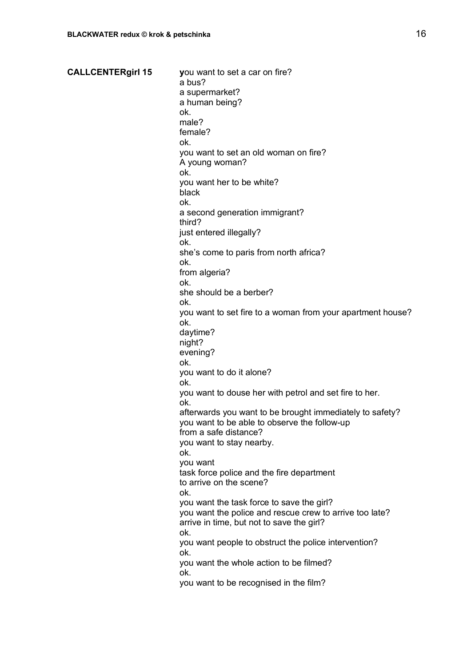#### **CALLCENTERgirl 15 y**ou want to set a car on fire?

a bus? a supermarket? a human being? ok. male? female? ok. you want to set an old woman on fire? A young woman? ok. you want her to be white? black ok. a second generation immigrant? third? just entered illegally? ok. she's come to paris from north africa? ok. from algeria? ok. she should be a berber? ok. you want to set fire to a woman from your apartment house? ok. daytime? night? evening? ok. you want to do it alone? ok. you want to douse her with petrol and set fire to her. ok. afterwards you want to be brought immediately to safety? you want to be able to observe the follow-up from a safe distance? you want to stay nearby. ok. you want task force police and the fire department to arrive on the scene? ok. you want the task force to save the girl? you want the police and rescue crew to arrive too late? arrive in time, but not to save the girl? ok. you want people to obstruct the police intervention? ok. you want the whole action to be filmed? ok. you want to be recognised in the film?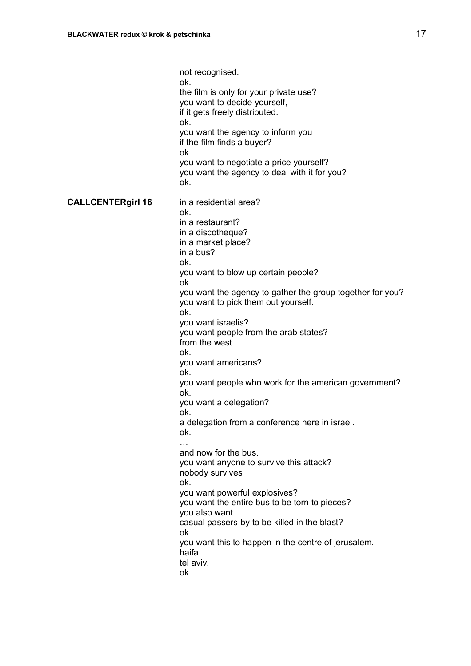not recognised. ok. the film is only for your private use? you want to decide yourself, if it gets freely distributed. ok. you want the agency to inform you if the film finds a buyer? ok. you want to negotiate a price yourself? you want the agency to deal with it for you? ok. **CALLCENTERgirl 16** in a residential area? ok. in a restaurant? in a discotheque? in a market place? in a bus? ok. you want to blow up certain people? ok. you want the agency to gather the group together for you? you want to pick them out yourself. ok. you want israelis? you want people from the arab states? from the west ok. you want americans? ok. you want people who work for the american government? ok. you want a delegation? ok. a delegation from a conference here in israel. ok. … and now for the bus. you want anyone to survive this attack? nobody survives ok. you want powerful explosives? you want the entire bus to be torn to pieces? you also want casual passers-by to be killed in the blast? ok. you want this to happen in the centre of jerusalem. haifa. tel aviv. ok.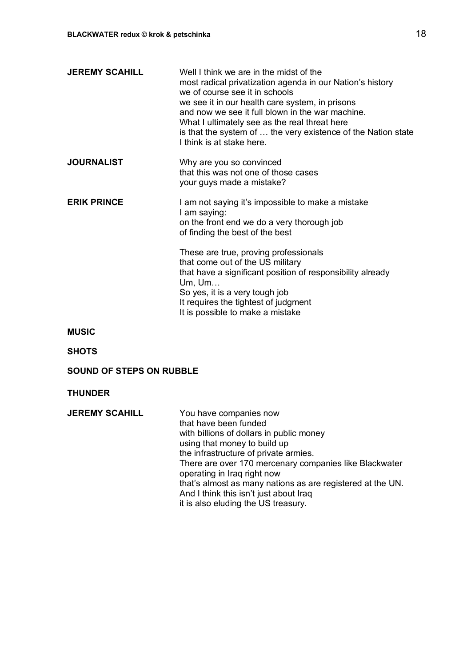| <b>JEREMY SCAHILL</b>           | Well I think we are in the midst of the<br>most radical privatization agenda in our Nation's history<br>we of course see it in schools<br>we see it in our health care system, in prisons<br>and now we see it full blown in the war machine.<br>What I ultimately see as the real threat here<br>is that the system of  the very existence of the Nation state<br>I think is at stake here.                 |
|---------------------------------|--------------------------------------------------------------------------------------------------------------------------------------------------------------------------------------------------------------------------------------------------------------------------------------------------------------------------------------------------------------------------------------------------------------|
| <b>JOURNALIST</b>               | Why are you so convinced<br>that this was not one of those cases<br>your guys made a mistake?                                                                                                                                                                                                                                                                                                                |
| <b>ERIK PRINCE</b>              | I am not saying it's impossible to make a mistake<br>I am saying:<br>on the front end we do a very thorough job<br>of finding the best of the best                                                                                                                                                                                                                                                           |
|                                 | These are true, proving professionals<br>that come out of the US military<br>that have a significant position of responsibility already<br>Um, Um<br>So yes, it is a very tough job<br>It requires the tightest of judgment<br>It is possible to make a mistake                                                                                                                                              |
| <b>MUSIC</b>                    |                                                                                                                                                                                                                                                                                                                                                                                                              |
| <b>SHOTS</b>                    |                                                                                                                                                                                                                                                                                                                                                                                                              |
| <b>SOUND OF STEPS ON RUBBLE</b> |                                                                                                                                                                                                                                                                                                                                                                                                              |
| <b>THUNDER</b>                  |                                                                                                                                                                                                                                                                                                                                                                                                              |
| <b>JEREMY SCAHILL</b>           | You have companies now<br>that have been funded<br>with billions of dollars in public money<br>using that money to build up<br>the infrastructure of private armies.<br>There are over 170 mercenary companies like Blackwater<br>operating in Iraq right now<br>that's almost as many nations as are registered at the UN.<br>And I think this isn't just about Iraq<br>it is also eluding the US treasury. |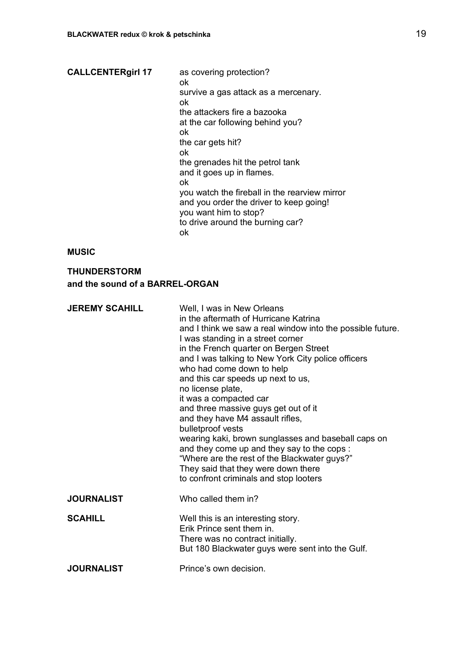| <b>CALLCENTERgirl 17</b> | as covering protection?<br>ok                                                                                     |
|--------------------------|-------------------------------------------------------------------------------------------------------------------|
|                          | survive a gas attack as a mercenary.<br>ok                                                                        |
|                          | the attackers fire a bazooka                                                                                      |
|                          | at the car following behind you?                                                                                  |
|                          | ok                                                                                                                |
|                          | the car gets hit?                                                                                                 |
|                          | ok                                                                                                                |
|                          | the grenades hit the petrol tank                                                                                  |
|                          | and it goes up in flames.                                                                                         |
|                          | ok                                                                                                                |
|                          | you watch the fireball in the rearview mirror<br>and you order the driver to keep going!<br>you want him to stop? |
|                          | to drive around the burning car?<br>ok                                                                            |

## **MUSIC**

# **THUNDERSTORM and the sound of a BARREL-ORGAN**

| <b>JEREMY SCAHILL</b> | Well, I was in New Orleans<br>in the aftermath of Hurricane Katrina<br>and I think we saw a real window into the possible future.<br>I was standing in a street corner<br>in the French quarter on Bergen Street<br>and I was talking to New York City police officers<br>who had come down to help<br>and this car speeds up next to us,<br>no license plate,<br>it was a compacted car<br>and three massive guys get out of it<br>and they have M4 assault rifles,<br>bulletproof vests<br>wearing kaki, brown sunglasses and baseball caps on<br>and they come up and they say to the cops :<br>"Where are the rest of the Blackwater guys?"<br>They said that they were down there<br>to confront criminals and stop looters |
|-----------------------|----------------------------------------------------------------------------------------------------------------------------------------------------------------------------------------------------------------------------------------------------------------------------------------------------------------------------------------------------------------------------------------------------------------------------------------------------------------------------------------------------------------------------------------------------------------------------------------------------------------------------------------------------------------------------------------------------------------------------------|
| <b>JOURNALIST</b>     | Who called them in?                                                                                                                                                                                                                                                                                                                                                                                                                                                                                                                                                                                                                                                                                                              |
| <b>SCAHILL</b>        | Well this is an interesting story.<br>Erik Prince sent them in.<br>There was no contract initially.<br>But 180 Blackwater guys were sent into the Gulf.                                                                                                                                                                                                                                                                                                                                                                                                                                                                                                                                                                          |
| <b>JOURNALIST</b>     | Prince's own decision.                                                                                                                                                                                                                                                                                                                                                                                                                                                                                                                                                                                                                                                                                                           |
|                       |                                                                                                                                                                                                                                                                                                                                                                                                                                                                                                                                                                                                                                                                                                                                  |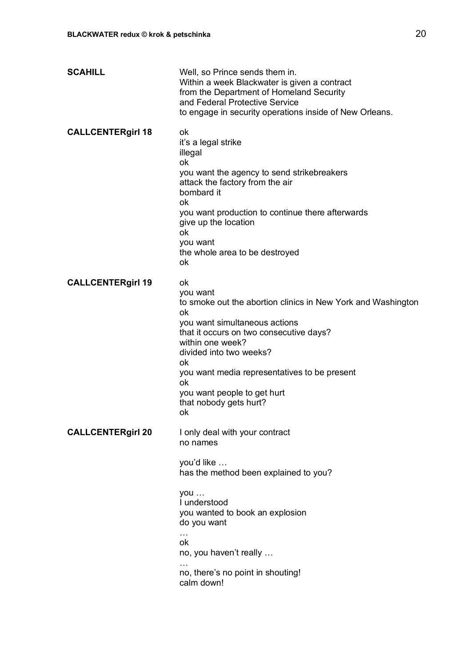| <b>SCAHILL</b>           | Well, so Prince sends them in.<br>Within a week Blackwater is given a contract<br>from the Department of Homeland Security<br>and Federal Protective Service<br>to engage in security operations inside of New Orleans.                                                                                                                    |
|--------------------------|--------------------------------------------------------------------------------------------------------------------------------------------------------------------------------------------------------------------------------------------------------------------------------------------------------------------------------------------|
| <b>CALLCENTERgirl 18</b> | ok<br>it's a legal strike<br>illegal<br>ok<br>you want the agency to send strikebreakers<br>attack the factory from the air<br>bombard it<br>ok<br>you want production to continue there afterwards<br>give up the location<br>ok<br>you want<br>the whole area to be destroyed<br>ok                                                      |
| <b>CALLCENTERgirl 19</b> | ok<br>you want<br>to smoke out the abortion clinics in New York and Washington<br>ok<br>you want simultaneous actions<br>that it occurs on two consecutive days?<br>within one week?<br>divided into two weeks?<br>ok<br>you want media representatives to be present<br>ok<br>you want people to get hurt<br>that nobody gets hurt?<br>ok |
| <b>CALLCENTERgirl 20</b> | I only deal with your contract<br>no names<br>you'd like<br>has the method been explained to you?<br>you<br>I understood<br>you wanted to book an explosion<br>do you want<br>$\cdots$<br>ok<br>no, you haven't really<br>no, there's no point in shouting!<br>calm down!                                                                  |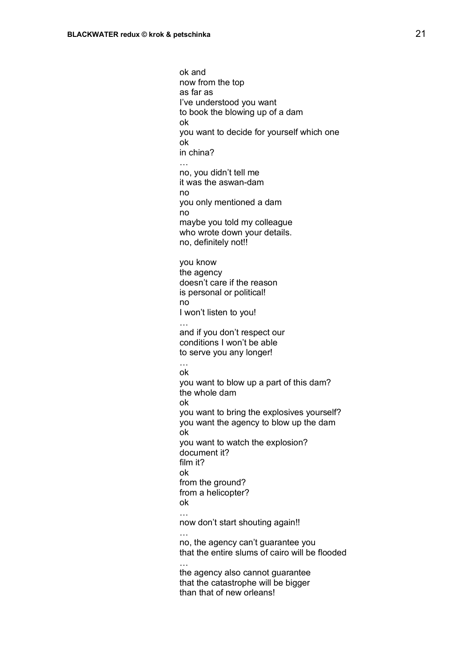ok and now from the top as far as I've understood you want to book the blowing up of a dam ok you want to decide for yourself which one ok in china? no, you didn't tell me it was the aswan-dam no you only mentioned a dam no maybe you told my colleague who wrote down your details. no, definitely not!! you know the agency doesn't care if the reason is personal or political! no I won't listen to you! … and if you don't respect our conditions I won't be able to serve you any longer! … ok you want to blow up a part of this dam? the whole dam ok you want to bring the explosives yourself? you want the agency to blow up the dam ok you want to watch the explosion? document it? film it? ok from the ground? from a helicopter? ok … now don't start shouting again!! … no, the agency can't guarantee you that the entire slums of cairo will be flooded … the agency also cannot guarantee that the catastrophe will be bigger than that of new orleans!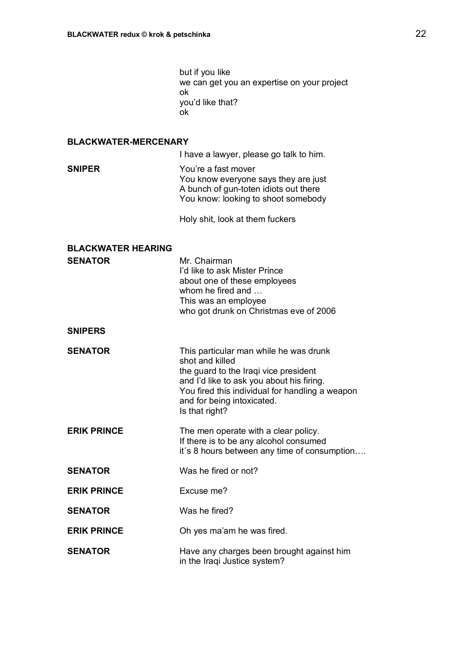but if you like we can get you an expertise on your project ok you'd like that? ok

### **BLACKWATER-MERCENARY**

I have a lawyer, please go talk to him.

**SNIPER** You're a fast mover You know everyone says they are just A bunch of gun-toten idiots out there You know: looking to shoot somebody

Holy shit, look at them fuckers

| <b>BLACKWATER HEARING</b><br><b>SENATOR</b> | Mr. Chairman<br>I'd like to ask Mister Prince<br>about one of these employees<br>whom he fired and<br>This was an employee<br>who got drunk on Christmas eve of 2006                                                                               |
|---------------------------------------------|----------------------------------------------------------------------------------------------------------------------------------------------------------------------------------------------------------------------------------------------------|
| <b>SNIPERS</b>                              |                                                                                                                                                                                                                                                    |
| <b>SENATOR</b>                              | This particular man while he was drunk<br>shot and killed<br>the guard to the Iraqi vice president<br>and I'd like to ask you about his firing.<br>You fired this individual for handling a weapon<br>and for being intoxicated.<br>Is that right? |
| <b>ERIK PRINCE</b>                          | The men operate with a clear policy.<br>If there is to be any alcohol consumed<br>it's 8 hours between any time of consumption                                                                                                                     |
| <b>SENATOR</b>                              | Was he fired or not?                                                                                                                                                                                                                               |
| <b>ERIK PRINCE</b>                          | Excuse me?                                                                                                                                                                                                                                         |
| <b>SENATOR</b>                              | Was he fired?                                                                                                                                                                                                                                      |
| <b>ERIK PRINCE</b>                          | Oh yes ma'am he was fired.                                                                                                                                                                                                                         |
| <b>SENATOR</b>                              | Have any charges been brought against him<br>in the Iraqi Justice system?                                                                                                                                                                          |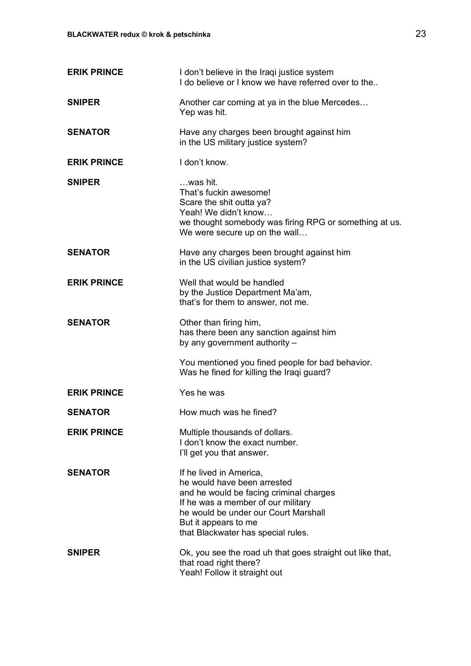| <b>ERIK PRINCE</b> | I don't believe in the Iraqi justice system<br>I do believe or I know we have referred over to the                                                                                                                                            |
|--------------------|-----------------------------------------------------------------------------------------------------------------------------------------------------------------------------------------------------------------------------------------------|
| <b>SNIPER</b>      | Another car coming at ya in the blue Mercedes<br>Yep was hit.                                                                                                                                                                                 |
| <b>SENATOR</b>     | Have any charges been brought against him<br>in the US military justice system?                                                                                                                                                               |
| <b>ERIK PRINCE</b> | I don't know.                                                                                                                                                                                                                                 |
| <b>SNIPER</b>      | …was hit.<br>That's fuckin awesome!<br>Scare the shit outta ya?<br>Yeah! We didn't know<br>we thought somebody was firing RPG or something at us.<br>We were secure up on the wall                                                            |
| <b>SENATOR</b>     | Have any charges been brought against him<br>in the US civilian justice system?                                                                                                                                                               |
| <b>ERIK PRINCE</b> | Well that would be handled<br>by the Justice Department Ma'am,<br>that's for them to answer, not me.                                                                                                                                          |
| <b>SENATOR</b>     | Other than firing him,<br>has there been any sanction against him<br>by any government authority -                                                                                                                                            |
|                    | You mentioned you fined people for bad behavior.<br>Was he fined for killing the Iraqi guard?                                                                                                                                                 |
| <b>ERIK PRINCE</b> | Yes he was                                                                                                                                                                                                                                    |
| <b>SENATOR</b>     | How much was he fined?                                                                                                                                                                                                                        |
| <b>ERIK PRINCE</b> | Multiple thousands of dollars.<br>I don't know the exact number.<br>I'll get you that answer.                                                                                                                                                 |
| <b>SENATOR</b>     | If he lived in America,<br>he would have been arrested<br>and he would be facing criminal charges<br>If he was a member of our military<br>he would be under our Court Marshall<br>But it appears to me<br>that Blackwater has special rules. |
| <b>SNIPER</b>      | Ok, you see the road uh that goes straight out like that,<br>that road right there?<br>Yeah! Follow it straight out                                                                                                                           |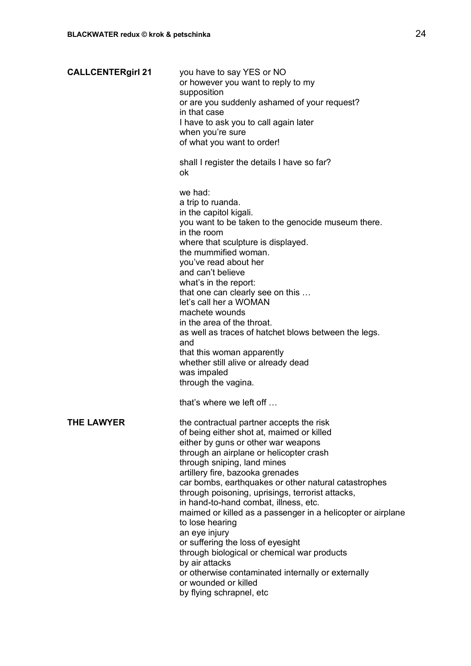| <b>CALLCENTERgirl 21</b> | you have to say YES or NO<br>or however you want to reply to my<br>supposition<br>or are you suddenly ashamed of your request?<br>in that case<br>I have to ask you to call again later<br>when you're sure<br>of what you want to order!                                                                                                                                                                                                                                                                                                                                                                                                                                                                          |
|--------------------------|--------------------------------------------------------------------------------------------------------------------------------------------------------------------------------------------------------------------------------------------------------------------------------------------------------------------------------------------------------------------------------------------------------------------------------------------------------------------------------------------------------------------------------------------------------------------------------------------------------------------------------------------------------------------------------------------------------------------|
|                          | shall I register the details I have so far?<br>ok                                                                                                                                                                                                                                                                                                                                                                                                                                                                                                                                                                                                                                                                  |
|                          | we had:<br>a trip to ruanda.<br>in the capitol kigali.<br>you want to be taken to the genocide museum there.<br>in the room<br>where that sculpture is displayed.<br>the mummified woman.<br>you've read about her<br>and can't believe<br>what's in the report:<br>that one can clearly see on this<br>let's call her a WOMAN<br>machete wounds<br>in the area of the throat.<br>as well as traces of hatchet blows between the legs.<br>and<br>that this woman apparently<br>whether still alive or already dead<br>was impaled<br>through the vagina.<br>that's where we left off                                                                                                                               |
| THE LAWYER               | the contractual partner accepts the risk<br>of being either shot at, maimed or killed<br>either by guns or other war weapons<br>through an airplane or helicopter crash<br>through sniping, land mines<br>artillery fire, bazooka grenades<br>car bombs, earthquakes or other natural catastrophes<br>through poisoning, uprisings, terrorist attacks,<br>in hand-to-hand combat, illness, etc.<br>maimed or killed as a passenger in a helicopter or airplane<br>to lose hearing<br>an eye injury<br>or suffering the loss of eyesight<br>through biological or chemical war products<br>by air attacks<br>or otherwise contaminated internally or externally<br>or wounded or killed<br>by flying schrapnel, etc |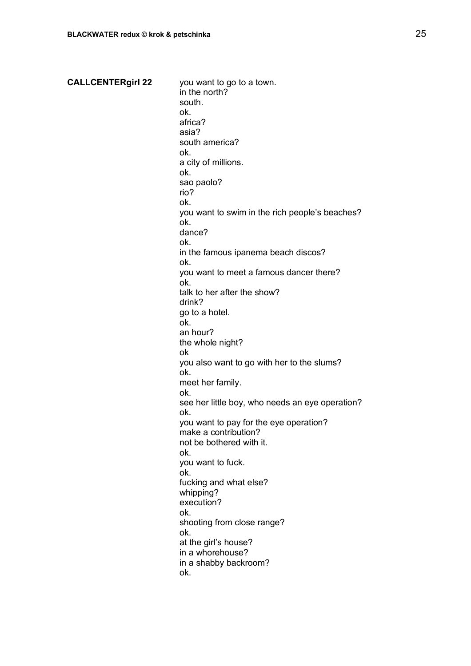**CALLCENTERgirl 22** you want to go to a town. in the north? south. ok. africa? asia? south america? ok. a city of millions. ok. sao paolo? rio? ok. you want to swim in the rich people's beaches? ok. dance? ok. in the famous ipanema beach discos? ok. you want to meet a famous dancer there? ok. talk to her after the show? drink? go to a hotel. ok. an hour? the whole night? ok you also want to go with her to the slums? ok. meet her family. ok. see her little boy, who needs an eye operation? ok. you want to pay for the eye operation? make a contribution? not be bothered with it. ok. you want to fuck. ok. fucking and what else? whipping? execution? ok. shooting from close range? ok. at the girl's house? in a whorehouse? in a shabby backroom? ok.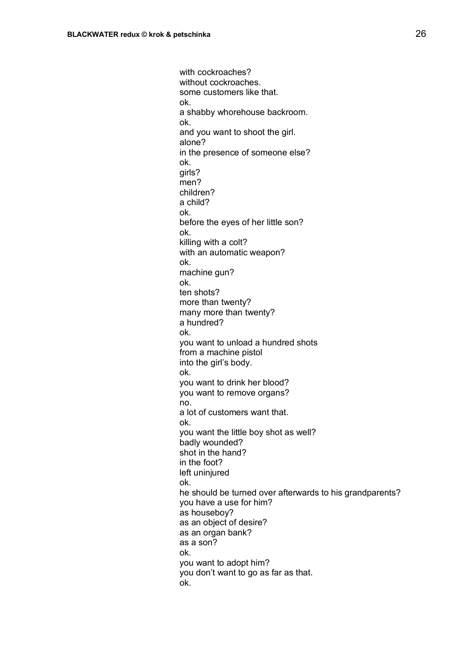with cockroaches? without cockroaches. some customers like that. ok. a shabby whorehouse backroom. ok. and you want to shoot the girl. alone? in the presence of someone else? ok. girls? men? children? a child? ok. before the eyes of her little son? ok. killing with a colt? with an automatic weapon? ok. machine gun? ok. ten shots? more than twenty? many more than twenty? a hundred? ok. you want to unload a hundred shots from a machine pistol into the girl's body. ok. you want to drink her blood? you want to remove organs? no. a lot of customers want that. ok. you want the little boy shot as well? badly wounded? shot in the hand? in the foot? left uninjured ok. he should be turned over afterwards to his grandparents? you have a use for him? as houseboy? as an object of desire? as an organ bank? as a son? ok. you want to adopt him? you don't want to go as far as that. ok.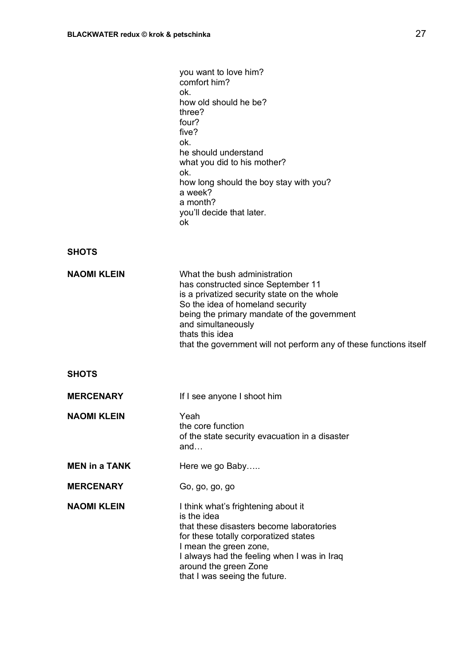|                      | you want to love him?<br>comfort him?<br>ok.<br>how old should he be?<br>three?<br>four?<br>five?<br>ok.<br>he should understand<br>what you did to his mother?<br>ok.<br>how long should the boy stay with you?<br>a week?<br>a month?<br>you'll decide that later.<br>ok                                          |
|----------------------|---------------------------------------------------------------------------------------------------------------------------------------------------------------------------------------------------------------------------------------------------------------------------------------------------------------------|
| <b>SHOTS</b>         |                                                                                                                                                                                                                                                                                                                     |
| <b>NAOMI KLEIN</b>   | What the bush administration<br>has constructed since September 11<br>is a privatized security state on the whole<br>So the idea of homeland security<br>being the primary mandate of the government<br>and simultaneously<br>thats this idea<br>that the government will not perform any of these functions itself |
| <b>SHOTS</b>         |                                                                                                                                                                                                                                                                                                                     |
| <b>MERCENARY</b>     | If I see anyone I shoot him                                                                                                                                                                                                                                                                                         |
| <b>NAOMI KLEIN</b>   | Yeah<br>the core function<br>of the state security evacuation in a disaster<br>and                                                                                                                                                                                                                                  |
| <b>MEN in a TANK</b> | Here we go Baby                                                                                                                                                                                                                                                                                                     |
| <b>MERCENARY</b>     | Go, go, go, go                                                                                                                                                                                                                                                                                                      |
| <b>NAOMI KLEIN</b>   | I think what's frightening about it<br>is the idea<br>that these disasters become laboratories<br>for these totally corporatized states<br>I mean the green zone,<br>I always had the feeling when I was in Iraq<br>around the green Zone<br>that I was seeing the future.                                          |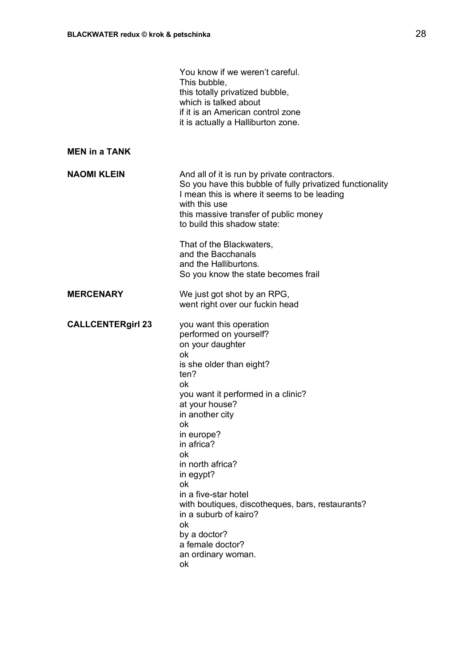|                          | You know if we weren't careful.<br>This bubble,<br>this totally privatized bubble,<br>which is talked about<br>if it is an American control zone<br>it is actually a Halliburton zone.                                                                                                                                                                                                                                                                     |
|--------------------------|------------------------------------------------------------------------------------------------------------------------------------------------------------------------------------------------------------------------------------------------------------------------------------------------------------------------------------------------------------------------------------------------------------------------------------------------------------|
| <b>MEN in a TANK</b>     |                                                                                                                                                                                                                                                                                                                                                                                                                                                            |
| <b>NAOMI KLEIN</b>       | And all of it is run by private contractors.<br>So you have this bubble of fully privatized functionality<br>I mean this is where it seems to be leading<br>with this use<br>this massive transfer of public money<br>to build this shadow state:                                                                                                                                                                                                          |
|                          | That of the Blackwaters,<br>and the Bacchanals<br>and the Halliburtons.<br>So you know the state becomes frail                                                                                                                                                                                                                                                                                                                                             |
| <b>MERCENARY</b>         | We just got shot by an RPG,<br>went right over our fuckin head                                                                                                                                                                                                                                                                                                                                                                                             |
| <b>CALLCENTERgirl 23</b> | you want this operation<br>performed on yourself?<br>on your daughter<br>ok<br>is she older than eight?<br>ten?<br>ok<br>you want it performed in a clinic?<br>at your house?<br>in another city<br>ok<br>in europe?<br>in africa?<br>ok<br>in north africa?<br>in egypt?<br>ok<br>in a five-star hotel<br>with boutiques, discotheques, bars, restaurants?<br>in a suburb of kairo?<br>ok<br>by a doctor?<br>a female doctor?<br>an ordinary woman.<br>ok |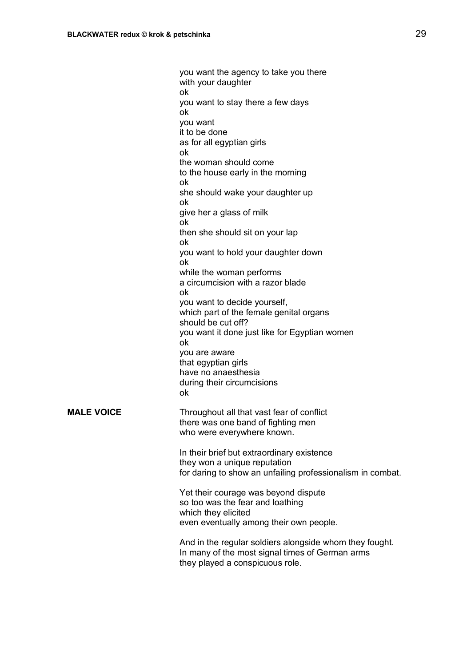you want the agency to take you there with your daughter ok you want to stay there a few days ok you want it to be done as for all egyptian girls ok the woman should come to the house early in the morning ok she should wake your daughter up ok give her a glass of milk ok then she should sit on your lap ok you want to hold your daughter down ok while the woman performs a circumcision with a razor blade ok you want to decide yourself, which part of the female genital organs should be cut off? you want it done just like for Egyptian women ok you are aware that egyptian girls have no anaesthesia during their circumcisions ok **MALE VOICE** Throughout all that vast fear of conflict there was one band of fighting men who were everywhere known.

In their brief but extraordinary existence they won a unique reputation for daring to show an unfailing professionalism in combat.

Yet their courage was beyond dispute so too was the fear and loathing which they elicited even eventually among their own people.

And in the regular soldiers alongside whom they fought. In many of the most signal times of German arms they played a conspicuous role.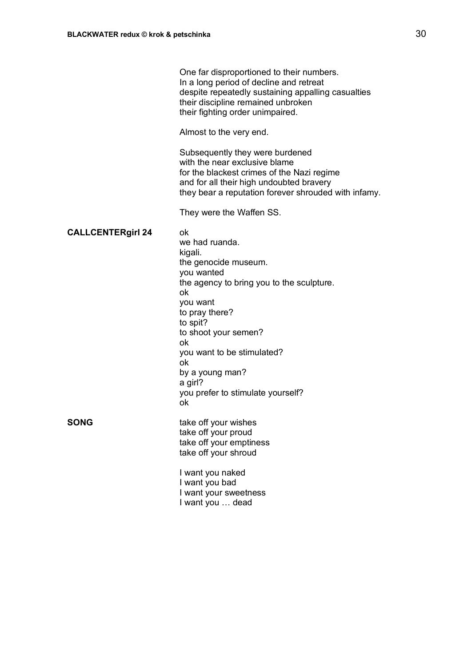|                          | One far disproportioned to their numbers.<br>In a long period of decline and retreat<br>despite repeatedly sustaining appalling casualties<br>their discipline remained unbroken<br>their fighting order unimpaired.                                                                                          |
|--------------------------|---------------------------------------------------------------------------------------------------------------------------------------------------------------------------------------------------------------------------------------------------------------------------------------------------------------|
|                          | Almost to the very end.                                                                                                                                                                                                                                                                                       |
|                          | Subsequently they were burdened<br>with the near exclusive blame<br>for the blackest crimes of the Nazi regime<br>and for all their high undoubted bravery<br>they bear a reputation forever shrouded with infamy.                                                                                            |
|                          | They were the Waffen SS.                                                                                                                                                                                                                                                                                      |
| <b>CALLCENTERgirl 24</b> | ok<br>we had ruanda.<br>kigali.<br>the genocide museum.<br>you wanted<br>the agency to bring you to the sculpture.<br>оk<br>you want<br>to pray there?<br>to spit?<br>to shoot your semen?<br>оk<br>you want to be stimulated?<br>ok<br>by a young man?<br>a girl?<br>you prefer to stimulate yourself?<br>ok |
| <b>SONG</b>              | take off your wishes<br>take off your proud<br>take off your emptiness<br>take off your shroud                                                                                                                                                                                                                |
|                          | I want you naked<br>I want you bad<br>I want your sweetness<br>I want you  dead                                                                                                                                                                                                                               |